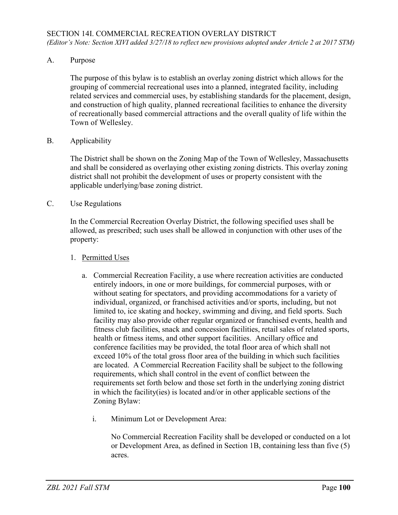A. Purpose

The purpose of this bylaw is to establish an overlay zoning district which allows for the grouping of commercial recreational uses into a planned, integrated facility, including related services and commercial uses, by establishing standards for the placement, design, and construction of high quality, planned recreational facilities to enhance the diversity of recreationally based commercial attractions and the overall quality of life within the Town of Wellesley.

B. Applicability

The District shall be shown on the Zoning Map of the Town of Wellesley, Massachusetts and shall be considered as overlaying other existing zoning districts. This overlay zoning district shall not prohibit the development of uses or property consistent with the applicable underlying/base zoning district.

C. Use Regulations

In the Commercial Recreation Overlay District, the following specified uses shall be allowed, as prescribed; such uses shall be allowed in conjunction with other uses of the property:

- 1. Permitted Uses
	- a. Commercial Recreation Facility, a use where recreation activities are conducted entirely indoors, in one or more buildings, for commercial purposes, with or without seating for spectators, and providing accommodations for a variety of individual, organized, or franchised activities and/or sports, including, but not limited to, ice skating and hockey, swimming and diving, and field sports. Such facility may also provide other regular organized or franchised events, health and fitness club facilities, snack and concession facilities, retail sales of related sports, health or fitness items, and other support facilities. Ancillary office and conference facilities may be provided, the total floor area of which shall not exceed 10% of the total gross floor area of the building in which such facilities are located. A Commercial Recreation Facility shall be subject to the following requirements, which shall control in the event of conflict between the requirements set forth below and those set forth in the underlying zoning district in which the facility(ies) is located and/or in other applicable sections of the Zoning Bylaw:
		- i. Minimum Lot or Development Area:

No Commercial Recreation Facility shall be developed or conducted on a lot or Development Area, as defined in Section 1B, containing less than five (5) acres.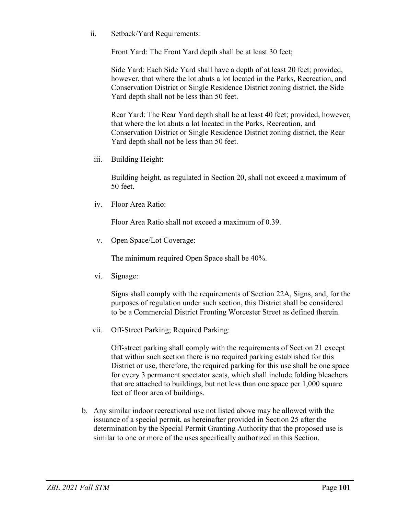ii. Setback/Yard Requirements:

Front Yard: The Front Yard depth shall be at least 30 feet;

Side Yard: Each Side Yard shall have a depth of at least 20 feet; provided, however, that where the lot abuts a lot located in the Parks, Recreation, and Conservation District or Single Residence District zoning district, the Side Yard depth shall not be less than 50 feet.

Rear Yard: The Rear Yard depth shall be at least 40 feet; provided, however, that where the lot abuts a lot located in the Parks, Recreation, and Conservation District or Single Residence District zoning district, the Rear Yard depth shall not be less than 50 feet.

iii. Building Height:

Building height, as regulated in Section 20, shall not exceed a maximum of 50 feet.

iv. Floor Area Ratio:

Floor Area Ratio shall not exceed a maximum of 0.39.

v. Open Space/Lot Coverage:

The minimum required Open Space shall be 40%.

vi. Signage:

Signs shall comply with the requirements of Section 22A, Signs, and, for the purposes of regulation under such section, this District shall be considered to be a Commercial District Fronting Worcester Street as defined therein.

vii. Off-Street Parking; Required Parking:

Off-street parking shall comply with the requirements of Section 21 except that within such section there is no required parking established for this District or use, therefore, the required parking for this use shall be one space for every 3 permanent spectator seats, which shall include folding bleachers that are attached to buildings, but not less than one space per 1,000 square feet of floor area of buildings.

b. Any similar indoor recreational use not listed above may be allowed with the issuance of a special permit, as hereinafter provided in Section 25 after the determination by the Special Permit Granting Authority that the proposed use is similar to one or more of the uses specifically authorized in this Section.